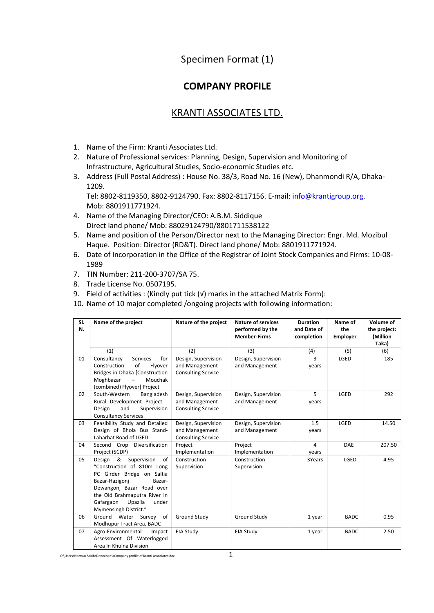## Specimen Format (1)

## **COMPANY PROFILE**

## KRANTI ASSOCIATES LTD.

- 1. Name of the Firm: Kranti Associates Ltd.
- 2. Nature of Professional services: Planning, Design, Supervision and Monitoring of Infrastructure, Agricultural Studies, Socio-economic Studies etc.
- 3. Address (Full Postal Address) : House No. 38/3, Road No. 16 (New), Dhanmondi R/A, Dhaka-1209.

Tel: 8802-8119350, 8802-9124790. Fax: 8802-8117156. E-mail: [info@krantigroup.org.](mailto:info@krantigroup.org) Mob: 8801911771924.

- 4. Name of the Managing Director/CEO: A.B.M. Siddique Direct land phone/ Mob: 88029124790/8801711538122
- 5. Name and position of the Person/Director next to the Managing Director: Engr. Md. Mozibul Haque. Position: Director (RD&T). Direct land phone/ Mob: 8801911771924.
- 6. Date of Incorporation in the Office of the Registrar of Joint Stock Companies and Firms: 10-08- 1989
- 7. TIN Number: 211-200-3707/SA 75.
- 8. Trade License No. 0507195.
- 9. Field of activities : (Kindly put tick (v) marks in the attached Matrix Form):
- 10. Name of 10 major completed /ongoing projects with following information:

| SI.<br>N. | Name of the project                                                                                                                                                                                                                          | Nature of the project                                              | <b>Nature of services</b><br>performed by the<br><b>Member-Firms</b> | <b>Duration</b><br>and Date of<br>completion | Name of<br>the<br><b>Employer</b> | Volume of<br>the project:<br>(Million<br>Taka) |
|-----------|----------------------------------------------------------------------------------------------------------------------------------------------------------------------------------------------------------------------------------------------|--------------------------------------------------------------------|----------------------------------------------------------------------|----------------------------------------------|-----------------------------------|------------------------------------------------|
|           | (1)                                                                                                                                                                                                                                          | (2)                                                                | (3)                                                                  | (4)                                          | (5)                               | (6)                                            |
| 01        | Consultancy<br><b>Services</b><br>for<br>of<br>Construction<br>Flyover<br>Bridges in Dhaka [Construction<br>Moghbazar<br>Mouchak<br>(combined) Flyover] Project                                                                              | Design, Supervision<br>and Management<br><b>Consulting Service</b> | Design, Supervision<br>and Management                                | 3<br>years                                   | LGED                              | 185                                            |
| 02        | South-Western<br>Bangladesh<br>Rural Development Project -<br>and<br>Supervision<br>Design<br><b>Consultancy Services</b>                                                                                                                    | Design, Supervision<br>and Management<br><b>Consulting Service</b> | Design, Supervision<br>and Management                                | 5<br>years                                   | LGED                              | 292                                            |
| 03        | Feasibility Study and Detailed<br>Design of Bhola Bus Stand-<br>Laharhat Road of LGED                                                                                                                                                        | Design, Supervision<br>and Management<br><b>Consulting Service</b> | Design, Supervision<br>and Management                                | 1.5<br>years                                 | LGED                              | 14.50                                          |
| 04        | Second Crop Diversification<br>Project (SCDP)                                                                                                                                                                                                | Project<br>Implementation                                          | Project<br>Implementation                                            | 4<br>years                                   | DAE                               | 207.50                                         |
| 05        | Design &<br>Supervision<br>of<br>"Construction of 810m Long<br>PC Girder Bridge on Saltia<br>Bazar-Hazigoni<br>Bazar-<br>Dewangonj Bazar Road over<br>the Old Brahmaputra River in<br>Gafargaon<br>Upazila<br>under<br>Mymensingh District." | Construction<br>Supervision                                        | Construction<br>Supervision                                          | 3Years                                       | LGED                              | 4.95                                           |
| 06        | Ground Water Survey of<br>Modhupur Tract Area, BADC                                                                                                                                                                                          | <b>Ground Study</b>                                                | Ground Study                                                         | 1 year                                       | <b>BADC</b>                       | 0.95                                           |
| 07        | Agro-Environmental<br>Impact<br>Assessment Of Waterlogged<br>Area In Khulna Division                                                                                                                                                         | EIA Study                                                          | EIA Study                                                            | 1 year                                       | <b>BADC</b>                       | 2.50                                           |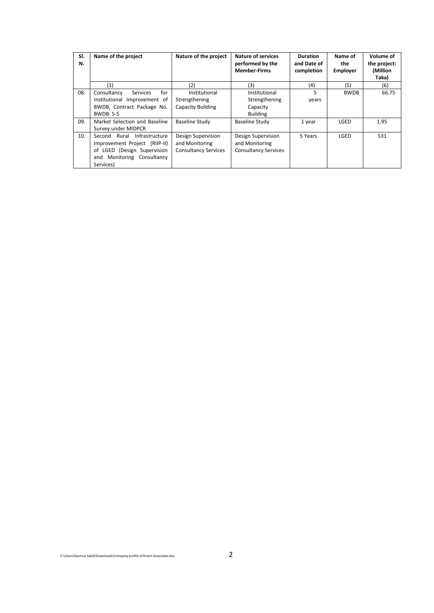| SI.<br>N. | Name of the project                                                                                                                       | Nature of the project                                               | <b>Nature of services</b><br>performed by the<br><b>Member-Firms</b> | <b>Duration</b><br>and Date of<br>completion | Name of<br>the<br><b>Employer</b> | Volume of<br>the project:<br>(Million<br>Taka) |
|-----------|-------------------------------------------------------------------------------------------------------------------------------------------|---------------------------------------------------------------------|----------------------------------------------------------------------|----------------------------------------------|-----------------------------------|------------------------------------------------|
|           | (1)                                                                                                                                       | (2)                                                                 | (3)                                                                  | (4)                                          | (5)                               | (6)                                            |
| 08.       | for<br>Consultancy<br><b>Services</b><br>Institutional Improvement of<br>BWDB, Contract Package No.<br>BWDB: S-5                          | Institutional<br>Strengthening<br><b>Capacity Building</b>          | Institutional<br>Strengthening<br>Capacity<br><b>Building</b>        | 5<br>years                                   | <b>BWDB</b>                       | 66.75                                          |
| 09.       | Market Selection and Baseline<br>Survey under MIDPCR                                                                                      | <b>Baseline Study</b>                                               | Baseline Study                                                       | 1 year                                       | LGED                              | 1.95                                           |
| 10.       | Second Rural Infrastructure<br>Improvement Project (RIIP-II)<br>of LGED (Design Supervision<br>Monitoring Consultancy<br>and<br>Services) | Design Supervision<br>and Monitoring<br><b>Consultancy Services</b> | Design Supervision<br>and Monitoring<br><b>Consultancy Services</b>  | 5 Years                                      | LGED                              | 531                                            |